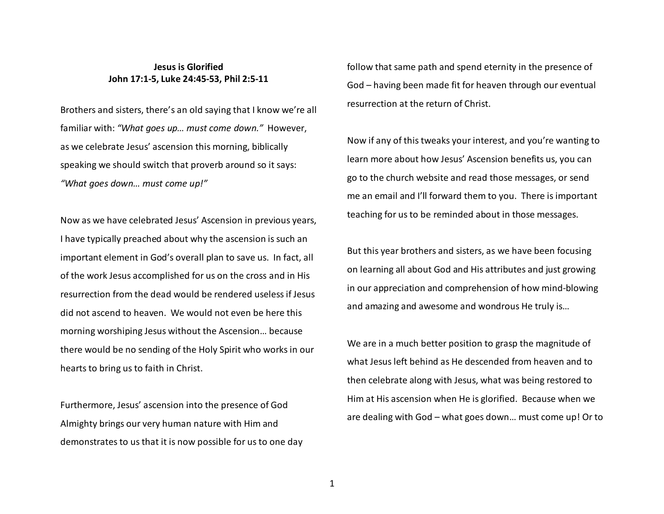## **Jesus is Glorified John 17:1-5, Luke 24:45-53, Phil 2:5-11**

Brothers and sisters, there's an old saying that I know we're all familiar with: *"What goes up… must come down."* However, as we celebrate Jesus' ascension this morning, biblically speaking we should switch that proverb around so it says: *"What goes down… must come up!"*

Now as we have celebrated Jesus' Ascension in previous years, I have typically preached about why the ascension is such an important element in God's overall plan to save us. In fact, all of the work Jesus accomplished for us on the cross and in His resurrection from the dead would be rendered useless if Jesus did not ascend to heaven. We would not even be here this morning worshiping Jesus without the Ascension… because there would be no sending of the Holy Spirit who works in our hearts to bring us to faith in Christ.

Furthermore, Jesus' ascension into the presence of God Almighty brings our very human nature with Him and demonstrates to us that it is now possible for us to one day follow that same path and spend eternity in the presence of God – having been made fit for heaven through our eventual resurrection at the return of Christ.

Now if any of this tweaks your interest, and you're wanting to learn more about how Jesus' Ascension benefits us, you can go to the church website and read those messages, or send me an email and I'll forward them to you. There is important teaching for us to be reminded about in those messages.

But this year brothers and sisters, as we have been focusing on learning all about God and His attributes and just growing in our appreciation and comprehension of how mind-blowing and amazing and awesome and wondrous He truly is…

We are in a much better position to grasp the magnitude of what Jesus left behind as He descended from heaven and to then celebrate along with Jesus, what was being restored to Him at His ascension when He is glorified. Because when we are dealing with God – what goes down… must come up! Or to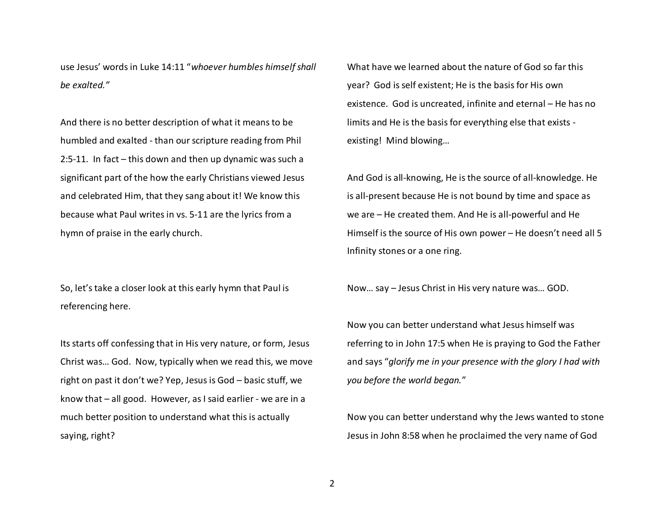use Jesus' words in Luke 14:11 "*whoever humbles himself shall be exalted."* 

And there is no better description of what it means to be humbled and exalted - than our scripture reading from Phil 2:5-11. In fact – this down and then up dynamic was such a significant part of the how the early Christians viewed Jesus and celebrated Him, that they sang about it! We know this because what Paul writes in vs. 5-11 are the lyrics from a hymn of praise in the early church.

So, let's take a closer look at this early hymn that Paul is referencing here.

Its starts off confessing that in His very nature, or form, Jesus Christ was… God. Now, typically when we read this, we move right on past it don't we? Yep, Jesus is God – basic stuff, we know that – all good. However, as I said earlier - we are in a much better position to understand what this is actually saying, right?

What have we learned about the nature of God so far this year? God is self existent; He is the basis for His own existence. God is uncreated, infinite and eternal – He has no limits and He is the basis for everything else that exists existing! Mind blowing…

And God is all-knowing, He is the source of all-knowledge. He is all-present because He is not bound by time and space as we are – He created them. And He is all-powerful and He Himself is the source of His own power – He doesn't need all 5 Infinity stones or a one ring.

Now… say – Jesus Christ in His very nature was… GOD.

Now you can better understand what Jesus himself was referring to in John 17:5 when He is praying to God the Father and says "*glorify me in your presence with the glory I had with you before the world began.*"

Now you can better understand why the Jews wanted to stone Jesus in John 8:58 when he proclaimed the very name of God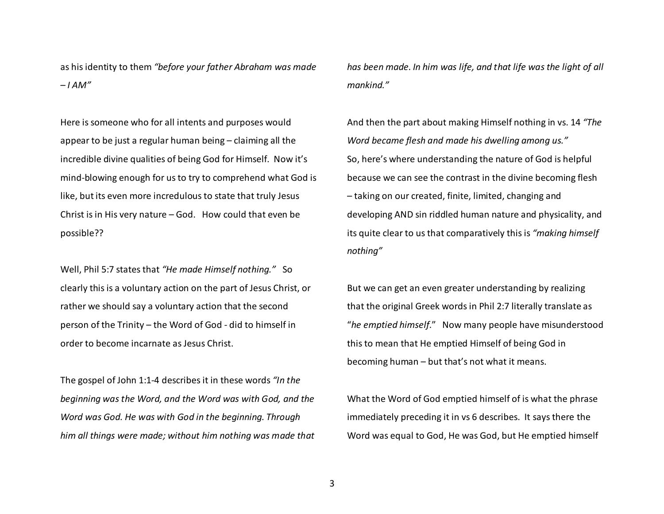as his identity to them *"before your father Abraham was made – I AM"* 

Here is someone who for all intents and purposes would appear to be just a regular human being – claiming all the incredible divine qualities of being God for Himself. Now it's mind-blowing enough for us to try to comprehend what God is like, but its even more incredulous to state that truly Jesus Christ is in His very nature – God. How could that even be possible??

Well, Phil 5:7 states that *"He made Himself nothing."* So clearly this is a voluntary action on the part of Jesus Christ, or rather we should say a voluntary action that the second person of the Trinity – the Word of God - did to himself in order to become incarnate as Jesus Christ.

The gospel of John 1:1-4 describes it in these words *"In the beginning was the Word, and the Word was with God, and the Word was God. He was with God in the beginning. Through him all things were made; without him nothing was made that* 

*has been made. In him was life, and that life was the light of all mankind."*

And then the part about making Himself nothing in vs. 14 *"The Word became flesh and made his dwelling among us."* So, here's where understanding the nature of God is helpful because we can see the contrast in the divine becoming flesh – taking on our created, finite, limited, changing anddeveloping AND sin riddled human nature and physicality, and its quite clear to us that comparatively this is *"making himself nothing"* 

But we can get an even greater understanding by realizing that the original Greek words in Phil 2:7 literally translate as "*he emptied himself*." Now many people have misunderstood this to mean that He emptied Himself of being God in becoming human – but that's not what it means.

What the Word of God emptied himself of is what the phrase immediately preceding it in vs 6 describes. It says there the Word was equal to God, He was God, but He emptied himself

3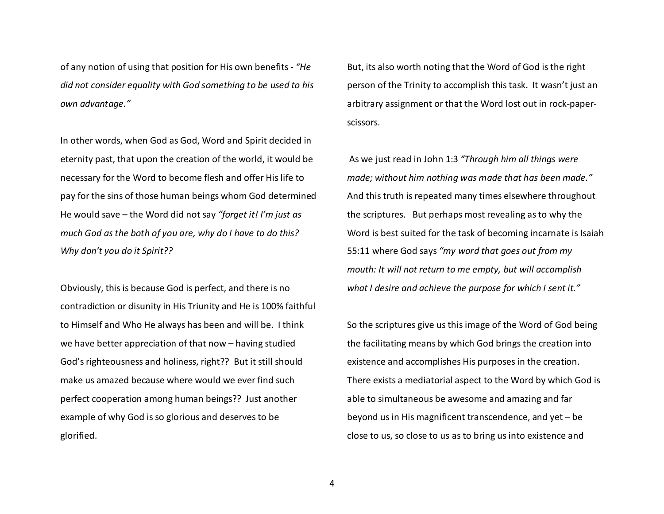of any notion of using that position for His own benefits - *"He did not consider equality with God something to be used to his own advantage."* 

In other words, when God as God, Word and Spirit decided in eternity past, that upon the creation of the world, it would be necessary for the Word to become flesh and offer His life to pay for the sins of those human beings whom God determined He would save – the Word did not say *"forget it! I'm just as much God as the both of you are, why do I have to do this? Why don't you do it Spirit??*

Obviously, this is because God is perfect, and there is no contradiction or disunity in His Triunity and He is 100% faithful to Himself and Who He always has been and will be. I think we have better appreciation of that now – having studied God's righteousness and holiness, right?? But it still should make us amazed because where would we ever find such perfect cooperation among human beings?? Just another example of why God is so glorious and deserves to be glorified.

But, its also worth noting that the Word of God is the right person of the Trinity to accomplish this task. It wasn't just an arbitrary assignment or that the Word lost out in rock-paperscissors.

 As we just read in John 1:3 *"Through him all things were made; without him nothing was made that has been made."*And this truth is repeated many times elsewhere throughout the scriptures. But perhaps most revealing as to why the Word is best suited for the task of becoming incarnate is Isaiah 55:11 where God says *"my word that goes out from my mouth: It will not return to me empty, but will accomplish what I desire and achieve the purpose for which I sent it."*

So the scriptures give us this image of the Word of God being the facilitating means by which God brings the creation into existence and accomplishes His purposes in the creation. There exists a mediatorial aspect to the Word by which God is able to simultaneous be awesome and amazing and farbeyond us in His magnificent transcendence, and yet – be close to us, so close to us as to bring us into existence and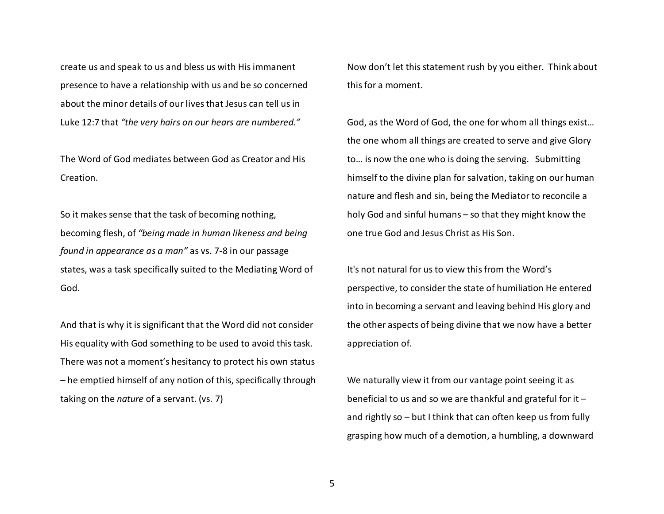create us and speak to us and bless us with His immanent presence to have a relationship with us and be so concerned about the minor details of our lives that Jesus can tell us in Luke 12:7 that *"the very hairs on our hears are numbered."*

The Word of God mediates between God as Creator and His Creation.

So it makes sense that the task of becoming nothing, becoming flesh, of *"being made in human likeness and being found in appearance as a man"* as vs. 7-8 in our passage states, was a task specifically suited to the Mediating Word of God.

And that is why it is significant that the Word did not consider His equality with God something to be used to avoid this task. There was not a moment's hesitancy to protect his own status – he emptied himself of any notion of this, specifically through taking on the *nature* of a servant. (vs. 7)

Now don't let this statement rush by you either. Think about this for a moment.

God, as the Word of God, the one for whom all things exist… the one whom all things are created to serve and give Glory to… is now the one who is doing the serving. Submitting himself to the divine plan for salvation, taking on our human nature and flesh and sin, being the Mediator to reconcile a holy God and sinful humans – so that they might know the one true God and Jesus Christ as His Son.

It's not natural for us to view this from the Word'sperspective, to consider the state of humiliation He entered into in becoming a servant and leaving behind His glory and the other aspects of being divine that we now have a better appreciation of.

We naturally view it from our vantage point seeing it as beneficial to us and so we are thankful and grateful for it – and rightly so – but I think that can often keep us from fully grasping how much of a demotion, a humbling, a downward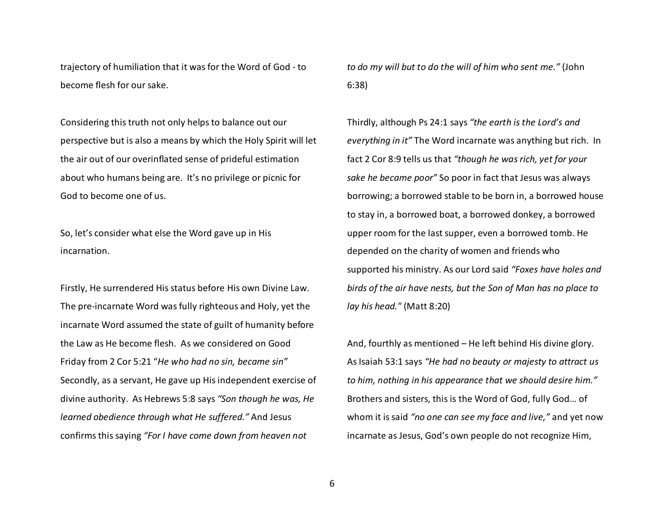trajectory of humiliation that it was for the Word of God - to become flesh for our sake.

Considering this truth not only helps to balance out our perspective but is also a means by which the Holy Spirit will let the air out of our overinflated sense of prideful estimation about who humans being are. It's no privilege or picnic for God to become one of us.

So, let's consider what else the Word gave up in His incarnation.

Firstly, He surrendered His status before His own Divine Law. The pre-incarnate Word was fully righteous and Holy, yet the incarnate Word assumed the state of guilt of humanity before the Law as He become flesh. As we considered on Good Friday from 2 Cor 5:21 "*He who had no sin, became sin"*Secondly, as a servant, He gave up His independent exercise of divine authority. As Hebrews 5:8 says *"Son though he was, He learned obedience through what He suffered."* And Jesus confirms this saying *"For I have come down from heaven not* 

*to do my will but to do the will of him who sent me."* (John 6:38)

Thirdly, although Ps 24:1 says *"the earth is the Lord's and everything in it"* The Word incarnate was anything but rich. In fact 2 Cor 8:9 tells us that *"though he was rich, yet for your sake he became poor"* So poor in fact that Jesus was always borrowing; a borrowed stable to be born in, a borrowed house to stay in, a borrowed boat, a borrowed donkey, a borrowed upper room for the last supper, even a borrowed tomb. He depended on the charity of women and friends who supported his ministry. As our Lord said *"Foxes have holes and birds of the air have nests, but the Son of Man has no place to lay his head."* (Matt 8:20)

And, fourthly as mentioned – He left behind His divine glory. As Isaiah 53:1 says *"He had no beauty or majesty to attract us to him, nothing in his appearance that we should desire him."* Brothers and sisters, this is the Word of God, fully God… of whom it is said *"no one can see my face and live,"* and yet now incarnate as Jesus, God's own people do not recognize Him,

6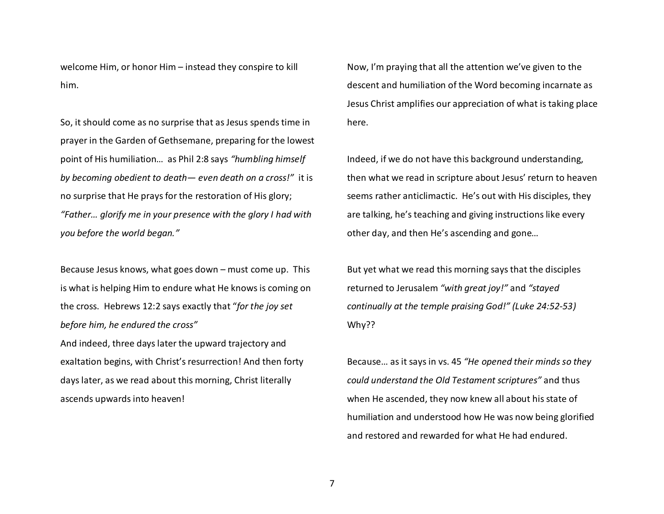welcome Him, or honor Him – instead they conspire to kill him.

So, it should come as no surprise that as Jesus spends time in prayer in the Garden of Gethsemane, preparing for the lowest point of His humiliation… as Phil 2:8 says *"humbling himself by becoming obedient to death— even death on a cross!"* it is no surprise that He prays for the restoration of His glory; *"Father… glorify me in your presence with the glory I had with you before the world began."* 

Because Jesus knows, what goes down – must come up. This is what is helping Him to endure what He knows is coming on the cross. Hebrews 12:2 says exactly that "*for the joy set before him, he endured the cross"* 

And indeed, three days later the upward trajectory and exaltation begins, with Christ's resurrection! And then forty days later, as we read about this morning, Christ literally ascends upwards into heaven!

Now, I'm praying that all the attention we've given to the descent and humiliation of the Word becoming incarnate as Jesus Christ amplifies our appreciation of what is taking place here.

Indeed, if we do not have this background understanding, then what we read in scripture about Jesus' return to heaven seems rather anticlimactic. He's out with His disciples, they are talking, he's teaching and giving instructions like every other day, and then He's ascending and gone…

But yet what we read this morning says that the disciples returned to Jerusalem *"with great joy!"* and *"stayed continually at the temple praising God!" (Luke 24:52-53)* Why??

Because… as it says in vs. 45 *"He opened their minds so they could understand the Old Testament scriptures"* and thus when He ascended, they now knew all about his state of humiliation and understood how He was now being glorified and restored and rewarded for what He had endured.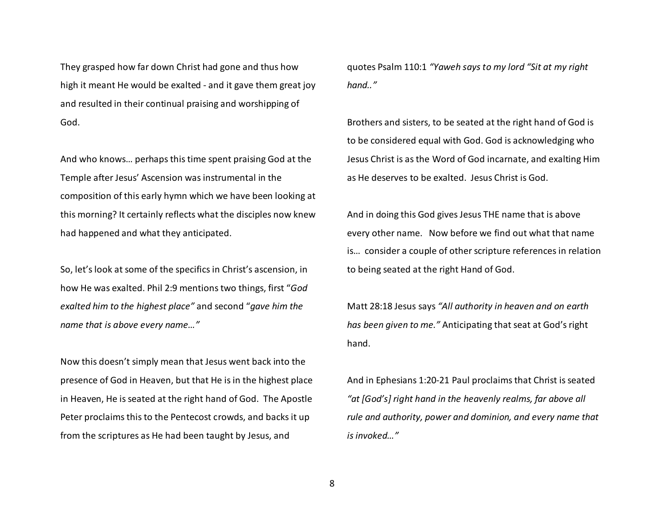They grasped how far down Christ had gone and thus how high it meant He would be exalted - and it gave them great joy and resulted in their continual praising and worshipping of God.

And who knows… perhaps this time spent praising God at the Temple after Jesus' Ascension was instrumental in the composition of this early hymn which we have been looking at this morning? It certainly reflects what the disciples now knew had happened and what they anticipated.

So, let's look at some of the specifics in Christ's ascension, in how He was exalted. Phil 2:9 mentions two things, first "*God exalted him to the highest place"* and second "*gave him the name that is above every name…"*

Now this doesn't simply mean that Jesus went back into the presence of God in Heaven, but that He is in the highest place in Heaven, He is seated at the right hand of God. The Apostle Peter proclaims this to the Pentecost crowds, and backs it up from the scriptures as He had been taught by Jesus, and

quotes Psalm 110:1 *"Yaweh says to my lord "Sit at my right hand.."*

Brothers and sisters, to be seated at the right hand of God is to be considered equal with God. God is acknowledging who Jesus Christ is as the Word of God incarnate, and exalting Him as He deserves to be exalted. Jesus Christ is God.

And in doing this God gives Jesus THE name that is above every other name. Now before we find out what that name is… consider a couple of other scripture references in relation to being seated at the right Hand of God.

Matt 28:18 Jesus says *"All authority in heaven and on earth has been given to me."* Anticipating that seat at God's right hand.

And in Ephesians 1:20-21 Paul proclaims that Christ is seated *"at [God's] right hand in the heavenly realms, far above all rule and authority, power and dominion, and every name that is invoked…"*

8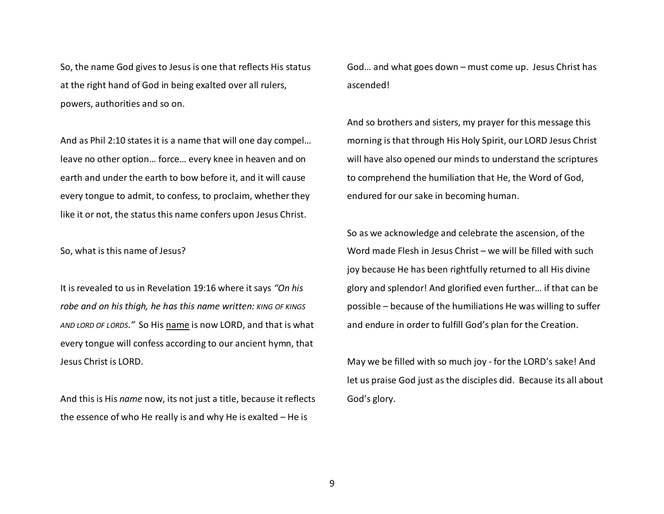So, the name God gives to Jesus is one that reflects His status at the right hand of God in being exalted over all rulers, powers, authorities and so on.

And as Phil 2:10 states it is a name that will one day compel… leave no other option… force… every knee in heaven and on earth and under the earth to bow before it, and it will cause every tongue to admit, to confess, to proclaim, whether they like it or not, the status this name confers upon Jesus Christ.

So, what is this name of Jesus?

It is revealed to us in Revelation 19:16 where it says *"On his robe and on his thigh, he has this name written: KING OF KINGS AND LORD OF LORDS."* So His name is now LORD, and that is what every tongue will confess according to our ancient hymn, that Jesus Christ is LORD.

And this is His *name* now, its not just a title, because it reflects the essence of who He really is and why He is exalted – He is

God… and what goes down – must come up. Jesus Christ has ascended!

And so brothers and sisters, my prayer for this message this morning is that through His Holy Spirit, our LORD Jesus Christ will have also opened our minds to understand the scriptures to comprehend the humiliation that He, the Word of God, endured for our sake in becoming human.

So as we acknowledge and celebrate the ascension, of the Word made Flesh in Jesus Christ – we will be filled with such joy because He has been rightfully returned to all His divine glory and splendor! And glorified even further… if that can be possible – because of the humiliations He was willing to suffer and endure in order to fulfill God's plan for the Creation.

May we be filled with so much joy - for the LORD's sake! And let us praise God just as the disciples did. Because its all about God's glory.